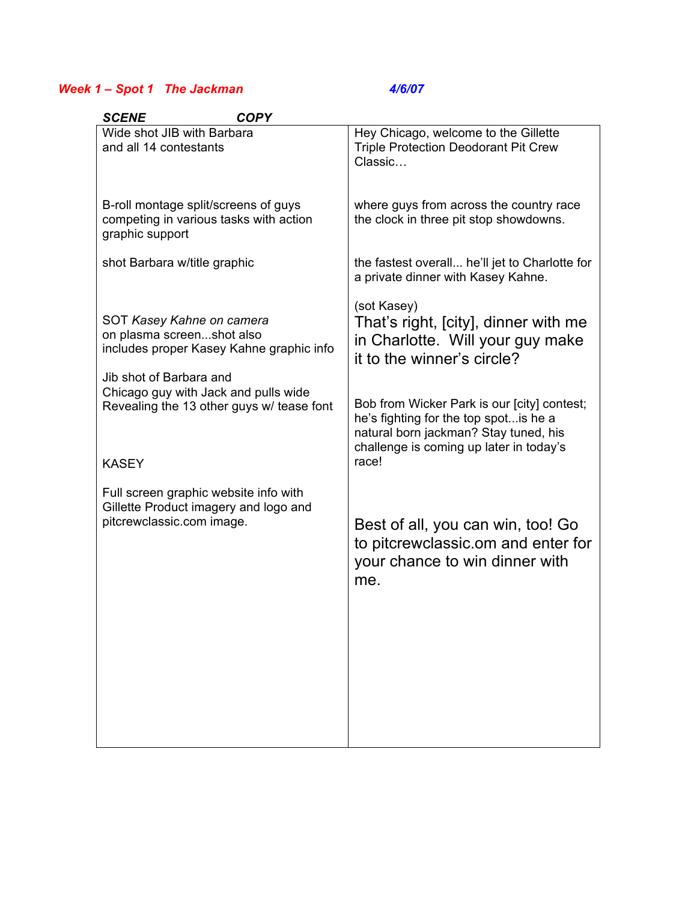## *Week 1 – Spot 1 The Jackman 4/6/07*

| <b>SCENE</b><br><b>COPY</b>                                                                                                  |                                                                                                                                                                                    |
|------------------------------------------------------------------------------------------------------------------------------|------------------------------------------------------------------------------------------------------------------------------------------------------------------------------------|
| Wide shot JIB with Barbara<br>and all 14 contestants                                                                         | Hey Chicago, welcome to the Gillette<br><b>Triple Protection Deodorant Pit Crew</b><br>Classic                                                                                     |
| B-roll montage split/screens of guys<br>competing in various tasks with action<br>graphic support                            | where guys from across the country race<br>the clock in three pit stop showdowns.                                                                                                  |
| shot Barbara w/title graphic                                                                                                 | the fastest overall he'll jet to Charlotte for<br>a private dinner with Kasey Kahne.                                                                                               |
| SOT Kasey Kahne on camera<br>on plasma screenshot also<br>includes proper Kasey Kahne graphic info                           | (sot Kasey)<br>That's right, [city], dinner with me<br>in Charlotte. Will your guy make<br>it to the winner's circle?                                                              |
| Jib shot of Barbara and<br>Chicago guy with Jack and pulls wide<br>Revealing the 13 other guys w/ tease font<br><b>KASEY</b> | Bob from Wicker Park is our [city] contest;<br>he's fighting for the top spot is he a<br>natural born jackman? Stay tuned, his<br>challenge is coming up later in today's<br>race! |
|                                                                                                                              |                                                                                                                                                                                    |
| Full screen graphic website info with<br>Gillette Product imagery and logo and<br>pitcrewclassic.com image.                  | Best of all, you can win, too! Go<br>to pitcrewclassic.om and enter for<br>your chance to win dinner with<br>me.                                                                   |
|                                                                                                                              |                                                                                                                                                                                    |
|                                                                                                                              |                                                                                                                                                                                    |
|                                                                                                                              |                                                                                                                                                                                    |
|                                                                                                                              |                                                                                                                                                                                    |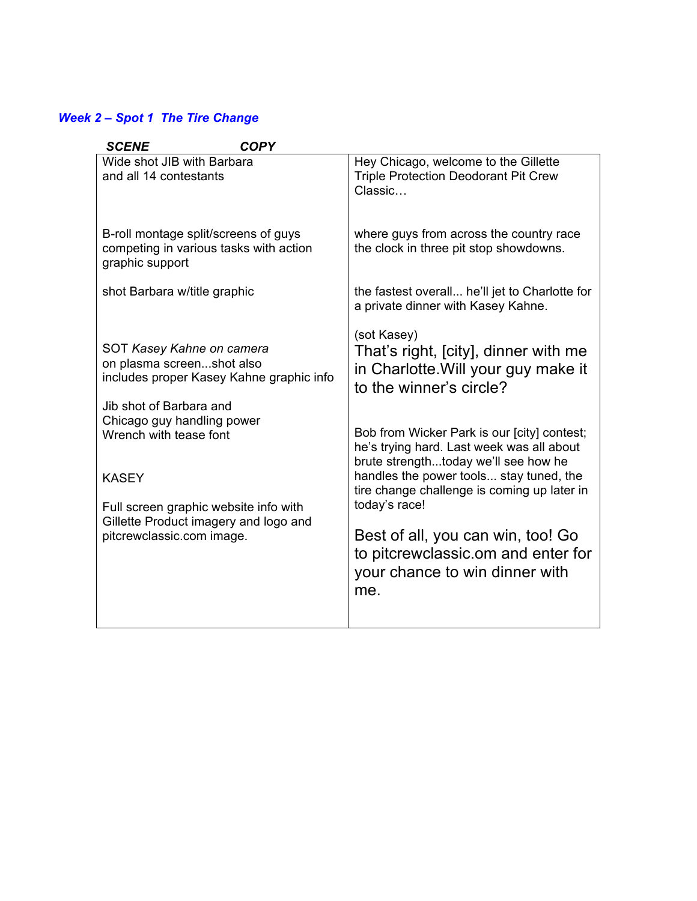## *Week 2 – Spot 1 The Tire Change*

| <b>COPY</b><br><b>SCENE</b>                                                                                                                                                                                    |                                                                                                                                                                                                                                                                                                                        |
|----------------------------------------------------------------------------------------------------------------------------------------------------------------------------------------------------------------|------------------------------------------------------------------------------------------------------------------------------------------------------------------------------------------------------------------------------------------------------------------------------------------------------------------------|
| Wide shot JIB with Barbara<br>and all 14 contestants                                                                                                                                                           | Hey Chicago, welcome to the Gillette<br><b>Triple Protection Deodorant Pit Crew</b><br>Classic                                                                                                                                                                                                                         |
| B-roll montage split/screens of guys<br>competing in various tasks with action<br>graphic support                                                                                                              | where guys from across the country race<br>the clock in three pit stop showdowns.                                                                                                                                                                                                                                      |
| shot Barbara w/title graphic                                                                                                                                                                                   | the fastest overall he'll jet to Charlotte for<br>a private dinner with Kasey Kahne.                                                                                                                                                                                                                                   |
| SOT Kasey Kahne on camera<br>on plasma screenshot also<br>includes proper Kasey Kahne graphic info                                                                                                             | (sot Kasey)<br>That's right, [city], dinner with me<br>in Charlotte. Will your guy make it<br>to the winner's circle?                                                                                                                                                                                                  |
| Jib shot of Barbara and<br>Chicago guy handling power<br>Wrench with tease font<br><b>KASEY</b><br>Full screen graphic website info with<br>Gillette Product imagery and logo and<br>pitcrewclassic.com image. | Bob from Wicker Park is our [city] contest;<br>he's trying hard. Last week was all about<br>brute strengthtoday we'll see how he<br>handles the power tools stay tuned, the<br>tire change challenge is coming up later in<br>today's race!<br>Best of all, you can win, too! Go<br>to pitcrewclassic.om and enter for |
|                                                                                                                                                                                                                | your chance to win dinner with<br>me.                                                                                                                                                                                                                                                                                  |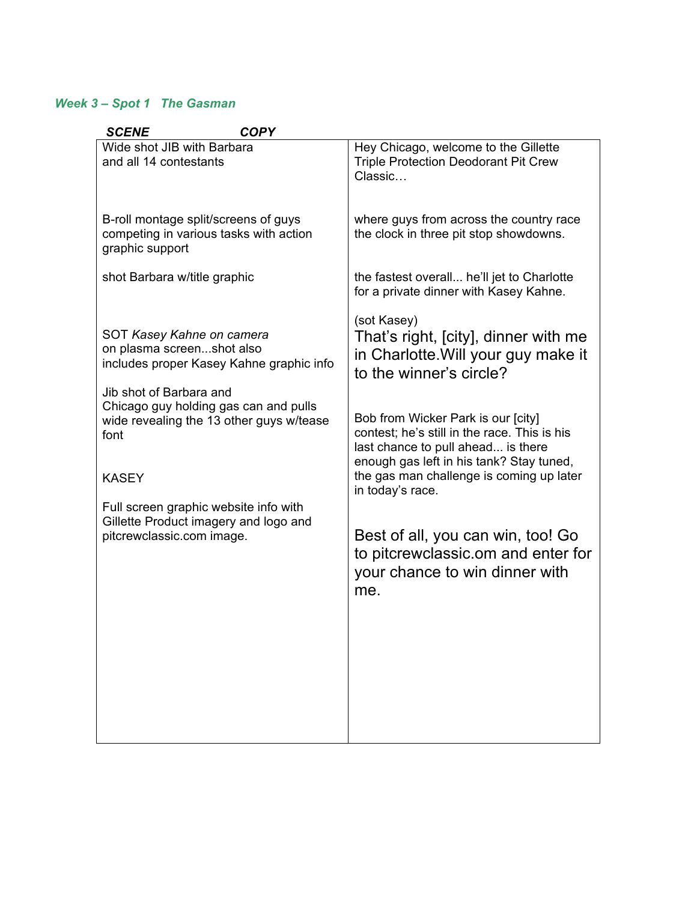## *Week 3 – Spot 1 The Gasman*

| <b>SCENE</b><br><b>COPY</b>                                                                                                                                                                                                                                                                                                                               |                                                                                                                                                                                                                                                                                                                                                                                                    |
|-----------------------------------------------------------------------------------------------------------------------------------------------------------------------------------------------------------------------------------------------------------------------------------------------------------------------------------------------------------|----------------------------------------------------------------------------------------------------------------------------------------------------------------------------------------------------------------------------------------------------------------------------------------------------------------------------------------------------------------------------------------------------|
| Wide shot JIB with Barbara<br>and all 14 contestants                                                                                                                                                                                                                                                                                                      | Hey Chicago, welcome to the Gillette<br><b>Triple Protection Deodorant Pit Crew</b><br>Classic                                                                                                                                                                                                                                                                                                     |
| B-roll montage split/screens of guys<br>competing in various tasks with action<br>graphic support                                                                                                                                                                                                                                                         | where guys from across the country race<br>the clock in three pit stop showdowns.                                                                                                                                                                                                                                                                                                                  |
| shot Barbara w/title graphic                                                                                                                                                                                                                                                                                                                              | the fastest overall he'll jet to Charlotte<br>for a private dinner with Kasey Kahne.                                                                                                                                                                                                                                                                                                               |
| SOT Kasey Kahne on camera<br>on plasma screenshot also<br>includes proper Kasey Kahne graphic info<br>Jib shot of Barbara and<br>Chicago guy holding gas can and pulls<br>wide revealing the 13 other guys w/tease<br>font<br><b>KASEY</b><br>Full screen graphic website info with<br>Gillette Product imagery and logo and<br>pitcrewclassic.com image. | (sot Kasey)<br>That's right, [city], dinner with me<br>in Charlotte. Will your guy make it<br>to the winner's circle?<br>Bob from Wicker Park is our [city]<br>contest; he's still in the race. This is his<br>last chance to pull ahead is there<br>enough gas left in his tank? Stay tuned,<br>the gas man challenge is coming up later<br>in today's race.<br>Best of all, you can win, too! Go |
|                                                                                                                                                                                                                                                                                                                                                           | to pitcrewclassic.om and enter for<br>your chance to win dinner with<br>me.                                                                                                                                                                                                                                                                                                                        |
|                                                                                                                                                                                                                                                                                                                                                           |                                                                                                                                                                                                                                                                                                                                                                                                    |
|                                                                                                                                                                                                                                                                                                                                                           |                                                                                                                                                                                                                                                                                                                                                                                                    |
|                                                                                                                                                                                                                                                                                                                                                           |                                                                                                                                                                                                                                                                                                                                                                                                    |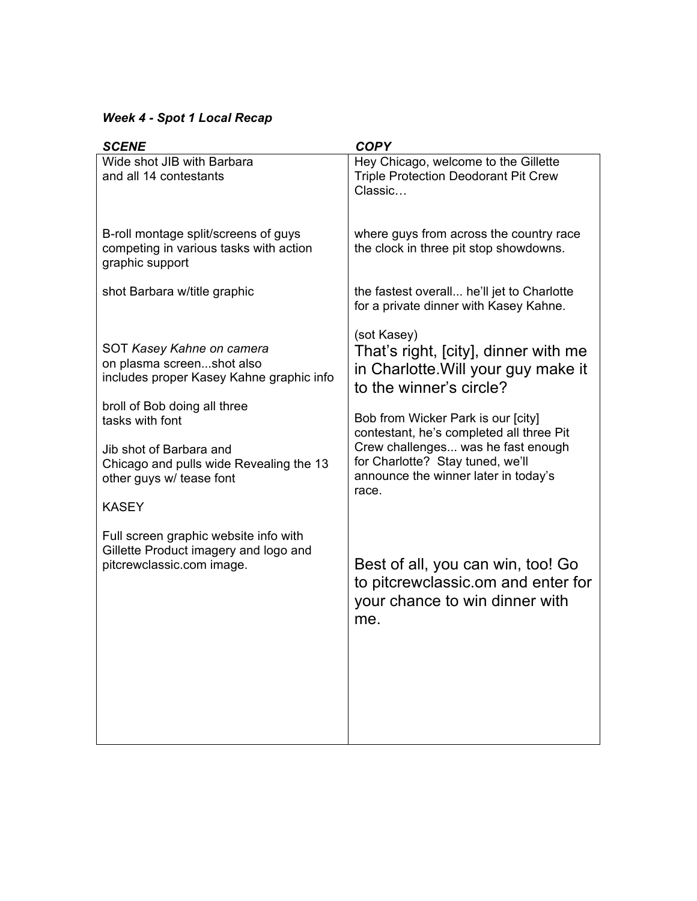# *Week 4 - Spot 1 Local Recap*

| <b>SCENE</b>                                                                                                                                          | <b>COPY</b>                                                                                                                                                               |
|-------------------------------------------------------------------------------------------------------------------------------------------------------|---------------------------------------------------------------------------------------------------------------------------------------------------------------------------|
| Wide shot JIB with Barbara<br>and all 14 contestants                                                                                                  | Hey Chicago, welcome to the Gillette<br><b>Triple Protection Deodorant Pit Crew</b><br>Classic                                                                            |
| B-roll montage split/screens of guys<br>competing in various tasks with action<br>graphic support<br>shot Barbara w/title graphic                     | where guys from across the country race<br>the clock in three pit stop showdowns.<br>the fastest overall he'll jet to Charlotte<br>for a private dinner with Kasey Kahne. |
| SOT Kasey Kahne on camera<br>on plasma screenshot also<br>includes proper Kasey Kahne graphic info<br>broll of Bob doing all three<br>tasks with font | (sot Kasey)<br>That's right, [city], dinner with me<br>in Charlotte. Will your guy make it<br>to the winner's circle?<br>Bob from Wicker Park is our [city]               |
| Jib shot of Barbara and<br>Chicago and pulls wide Revealing the 13<br>other guys w/ tease font                                                        | contestant, he's completed all three Pit<br>Crew challenges was he fast enough<br>for Charlotte? Stay tuned, we'll<br>announce the winner later in today's<br>race.       |
| <b>KASEY</b>                                                                                                                                          |                                                                                                                                                                           |
| Full screen graphic website info with<br>Gillette Product imagery and logo and<br>pitcrewclassic.com image.                                           | Best of all, you can win, too! Go<br>to pitcrewclassic.om and enter for<br>your chance to win dinner with<br>me.                                                          |
|                                                                                                                                                       |                                                                                                                                                                           |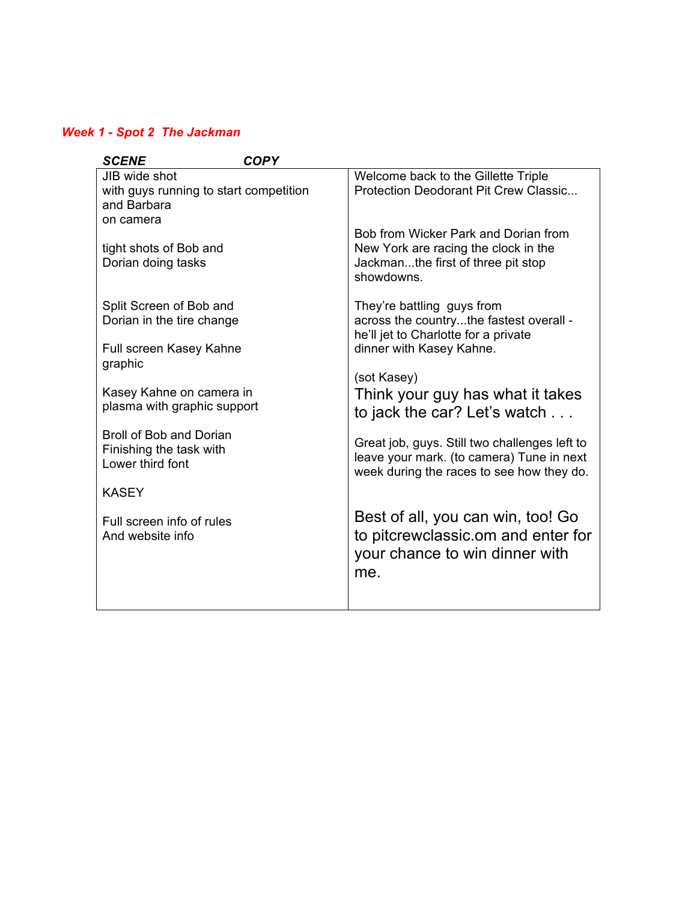## *Week 1 - Spot 2 The Jackman*

| <b>SCENE</b>                           | <b>COPY</b> |                                               |
|----------------------------------------|-------------|-----------------------------------------------|
| JIB wide shot                          |             | Welcome back to the Gillette Triple           |
| with guys running to start competition |             | Protection Deodorant Pit Crew Classic         |
| and Barbara                            |             |                                               |
| on camera                              |             |                                               |
|                                        |             | Bob from Wicker Park and Dorian from          |
| tight shots of Bob and                 |             | New York are racing the clock in the          |
| Dorian doing tasks                     |             | Jackmanthe first of three pit stop            |
|                                        |             | showdowns.                                    |
| Split Screen of Bob and                |             | They're battling guys from                    |
| Dorian in the tire change              |             | across the countrythe fastest overall -       |
|                                        |             | he'll jet to Charlotte for a private          |
| Full screen Kasey Kahne                |             | dinner with Kasey Kahne.                      |
| graphic                                |             |                                               |
|                                        |             | (sot Kasey)                                   |
| Kasey Kahne on camera in               |             | Think your guy has what it takes              |
| plasma with graphic support            |             |                                               |
|                                        |             | to jack the car? Let's watch                  |
| Broll of Bob and Dorian                |             | Great job, guys. Still two challenges left to |
| Finishing the task with                |             | leave your mark. (to camera) Tune in next     |
| Lower third font                       |             | week during the races to see how they do.     |
|                                        |             |                                               |
| <b>KASEY</b>                           |             |                                               |
| Full screen info of rules              |             | Best of all, you can win, too! Go             |
| And website info                       |             | to pitcrewclassic.om and enter for            |
|                                        |             |                                               |
|                                        |             | your chance to win dinner with                |
|                                        |             | me.                                           |
|                                        |             |                                               |
|                                        |             |                                               |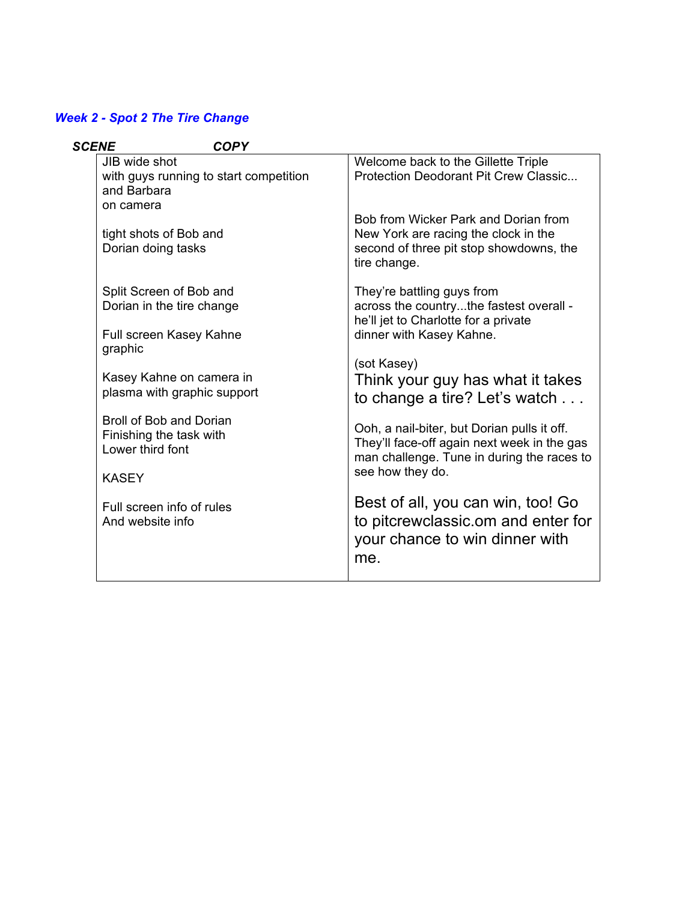## *Week 2 - Spot 2 The Tire Change*

| <b>SCENE</b> | <b>COPY</b>                                                            |                                                                                                                                          |
|--------------|------------------------------------------------------------------------|------------------------------------------------------------------------------------------------------------------------------------------|
|              | JIB wide shot<br>with guys running to start competition<br>and Barbara | Welcome back to the Gillette Triple<br>Protection Deodorant Pit Crew Classic                                                             |
|              | on camera                                                              |                                                                                                                                          |
|              | tight shots of Bob and<br>Dorian doing tasks                           | Bob from Wicker Park and Dorian from<br>New York are racing the clock in the<br>second of three pit stop showdowns, the<br>tire change.  |
|              | Split Screen of Bob and<br>Dorian in the tire change                   | They're battling guys from<br>across the countrythe fastest overall -<br>he'll jet to Charlotte for a private                            |
|              | Full screen Kasey Kahne<br>graphic                                     | dinner with Kasey Kahne.                                                                                                                 |
|              | Kasey Kahne on camera in<br>plasma with graphic support                | (sot Kasey)<br>Think your guy has what it takes<br>to change a tire? Let's watch                                                         |
|              | Broll of Bob and Dorian<br>Finishing the task with<br>Lower third font | Ooh, a nail-biter, but Dorian pulls it off.<br>They'll face-off again next week in the gas<br>man challenge. Tune in during the races to |
|              | <b>KASEY</b>                                                           | see how they do.                                                                                                                         |
|              | Full screen info of rules<br>And website info                          | Best of all, you can win, too! Go<br>to pitcrewclassic.om and enter for<br>your chance to win dinner with<br>me.                         |
|              |                                                                        |                                                                                                                                          |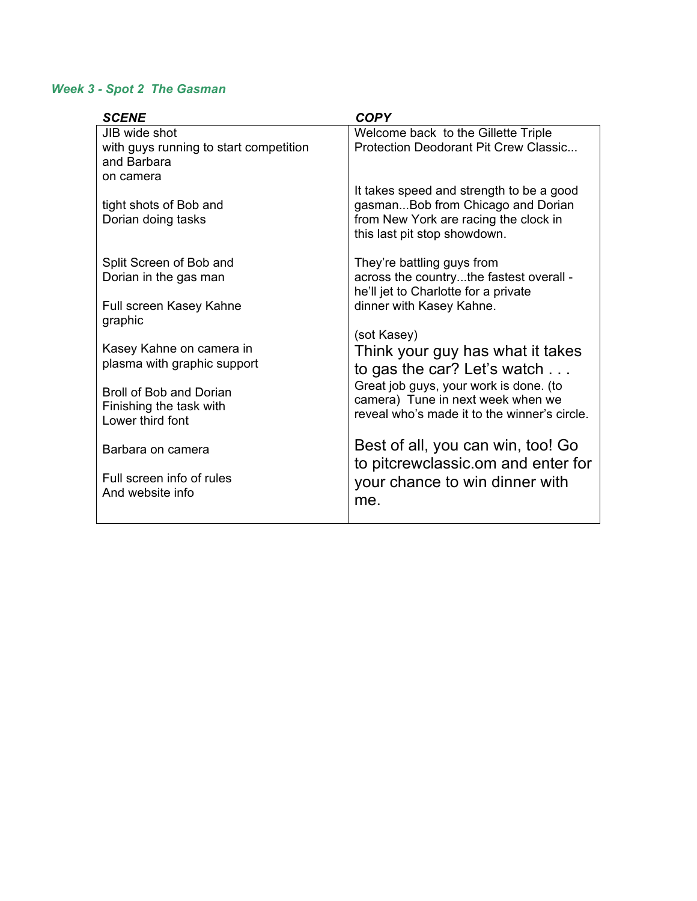### *Week 3 - Spot 2 The Gasman*

| <b>SCENE</b>                                            | <b>COPY</b>                                                                     |
|---------------------------------------------------------|---------------------------------------------------------------------------------|
| JIB wide shot<br>with guys running to start competition | Welcome back to the Gillette Triple<br>Protection Deodorant Pit Crew Classic    |
| and Barbara                                             |                                                                                 |
| on camera                                               |                                                                                 |
| tight shots of Bob and                                  | It takes speed and strength to be a good<br>gasmanBob from Chicago and Dorian   |
| Dorian doing tasks                                      | from New York are racing the clock in<br>this last pit stop showdown.           |
| Split Screen of Bob and                                 | They're battling guys from                                                      |
| Dorian in the gas man                                   | across the countrythe fastest overall -<br>he'll jet to Charlotte for a private |
| Full screen Kasey Kahne                                 | dinner with Kasey Kahne.                                                        |
| graphic                                                 | (sot Kasey)                                                                     |
| Kasey Kahne on camera in                                | Think your guy has what it takes                                                |
| plasma with graphic support                             | to gas the car? Let's watch $\dots$                                             |
| <b>Broll of Bob and Dorian</b>                          | Great job guys, your work is done. (to<br>camera) Tune in next week when we     |
| Finishing the task with<br>Lower third font             | reveal who's made it to the winner's circle.                                    |
| Barbara on camera                                       | Best of all, you can win, too! Go<br>to pitcrewclassic.om and enter for         |
| Full screen info of rules                               | your chance to win dinner with                                                  |
| And website info                                        | me.                                                                             |